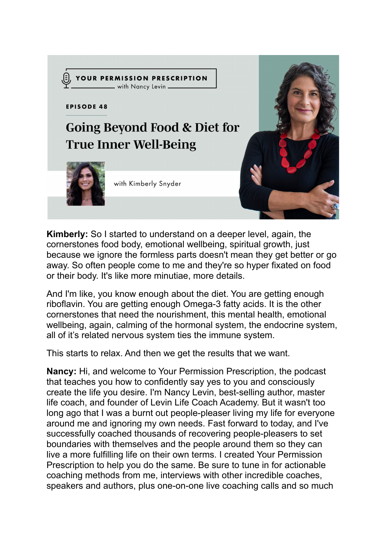

**Kimberly:** So I started to understand on a deeper level, again, the cornerstones food body, emotional wellbeing, spiritual growth, just because we ignore the formless parts doesn't mean they get better or go away. So often people come to me and they're so hyper fixated on food or their body. It's like more minutiae, more details.

And I'm like, you know enough about the diet. You are getting enough riboflavin. You are getting enough Omega-3 fatty acids. It is the other cornerstones that need the nourishment, this mental health, emotional wellbeing, again, calming of the hormonal system, the endocrine system, all of it's related nervous system ties the immune system.

This starts to relax. And then we get the results that we want.

**Nancy:** Hi, and welcome to Your Permission Prescription, the podcast that teaches you how to confidently say yes to you and consciously create the life you desire. I'm Nancy Levin, best-selling author, master life coach, and founder of Levin Life Coach Academy. But it wasn't too long ago that I was a burnt out people-pleaser living my life for everyone around me and ignoring my own needs. Fast forward to today, and I've successfully coached thousands of recovering people-pleasers to set boundaries with themselves and the people around them so they can live a more fulfilling life on their own terms. I created Your Permission Prescription to help you do the same. Be sure to tune in for actionable coaching methods from me, interviews with other incredible coaches, speakers and authors, plus one-on-one live coaching calls and so much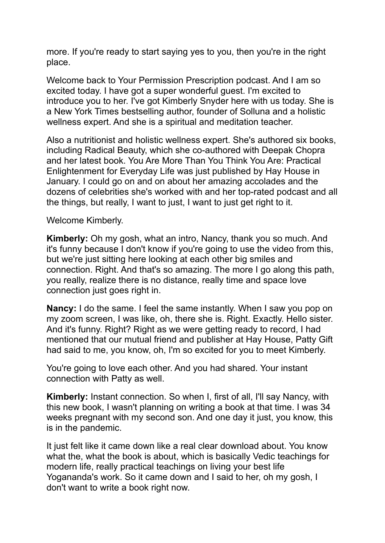more. If you're ready to start saying yes to you, then you're in the right place.

Welcome back to Your Permission Prescription podcast. And I am so excited today. I have got a super wonderful guest. I'm excited to introduce you to her. I've got Kimberly Snyder here with us today. She is a New York Times bestselling author, founder of Solluna and a holistic wellness expert. And she is a spiritual and meditation teacher.

Also a nutritionist and holistic wellness expert. She's authored six books, including Radical Beauty, which she co-authored with Deepak Chopra and her latest book. You Are More Than You Think You Are: Practical Enlightenment for Everyday Life was just published by Hay House in January. I could go on and on about her amazing accolades and the dozens of celebrities she's worked with and her top-rated podcast and all the things, but really, I want to just, I want to just get right to it.

Welcome Kimberly.

**Kimberly:** Oh my gosh, what an intro, Nancy, thank you so much. And it's funny because I don't know if you're going to use the video from this, but we're just sitting here looking at each other big smiles and connection. Right. And that's so amazing. The more I go along this path, you really, realize there is no distance, really time and space love connection just goes right in.

**Nancy:** I do the same. I feel the same instantly. When I saw you pop on my zoom screen, I was like, oh, there she is. Right. Exactly. Hello sister. And it's funny. Right? Right as we were getting ready to record, I had mentioned that our mutual friend and publisher at Hay House, Patty Gift had said to me, you know, oh, I'm so excited for you to meet Kimberly.

You're going to love each other. And you had shared. Your instant connection with Patty as well.

**Kimberly:** Instant connection. So when I, first of all, I'll say Nancy, with this new book, I wasn't planning on writing a book at that time. I was 34 weeks pregnant with my second son. And one day it just, you know, this is in the pandemic.

It just felt like it came down like a real clear download about. You know what the, what the book is about, which is basically Vedic teachings for modern life, really practical teachings on living your best life Yogananda's work. So it came down and I said to her, oh my gosh, I don't want to write a book right now.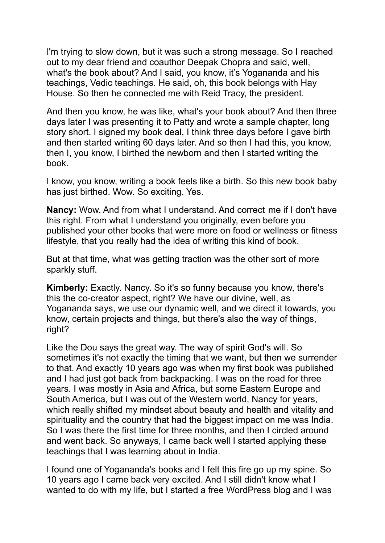I'm trying to slow down, but it was such a strong message. So I reached out to my dear friend and coauthor Deepak Chopra and said, well, what's the book about? And I said, you know, it's Yogananda and his teachings, Vedic teachings. He said, oh, this book belongs with Hay House. So then he connected me with Reid Tracy, the president.

And then you know, he was like, what's your book about? And then three days later I was presenting it to Patty and wrote a sample chapter, long story short. I signed my book deal, I think three days before I gave birth and then started writing 60 days later. And so then I had this, you know, then I, you know, I birthed the newborn and then I started writing the book.

I know, you know, writing a book feels like a birth. So this new book baby has just birthed. Wow. So exciting. Yes.

**Nancy:** Wow. And from what I understand. And correct me if I don't have this right. From what I understand you originally, even before you published your other books that were more on food or wellness or fitness lifestyle, that you really had the idea of writing this kind of book.

But at that time, what was getting traction was the other sort of more sparkly stuff.

**Kimberly:** Exactly. Nancy. So it's so funny because you know, there's this the co-creator aspect, right? We have our divine, well, as Yogananda says, we use our dynamic well, and we direct it towards, you know, certain projects and things, but there's also the way of things, right?

Like the Dou says the great way. The way of spirit God's will. So sometimes it's not exactly the timing that we want, but then we surrender to that. And exactly 10 years ago was when my first book was published and I had just got back from backpacking. I was on the road for three years. I was mostly in Asia and Africa, but some Eastern Europe and South America, but I was out of the Western world, Nancy for years, which really shifted my mindset about beauty and health and vitality and spirituality and the country that had the biggest impact on me was India. So I was there the first time for three months, and then I circled around and went back. So anyways, I came back well I started applying these teachings that I was learning about in India.

I found one of Yogananda's books and I felt this fire go up my spine. So 10 years ago I came back very excited. And I still didn't know what I wanted to do with my life, but I started a free WordPress blog and I was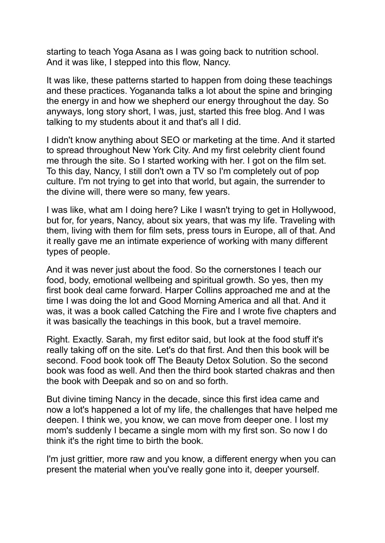starting to teach Yoga Asana as I was going back to nutrition school. And it was like, I stepped into this flow, Nancy.

It was like, these patterns started to happen from doing these teachings and these practices. Yogananda talks a lot about the spine and bringing the energy in and how we shepherd our energy throughout the day. So anyways, long story short, I was, just, started this free blog. And I was talking to my students about it and that's all I did.

I didn't know anything about SEO or marketing at the time. And it started to spread throughout New York City. And my first celebrity client found me through the site. So I started working with her. I got on the film set. To this day, Nancy, I still don't own a TV so I'm completely out of pop culture. I'm not trying to get into that world, but again, the surrender to the divine will, there were so many, few years.

I was like, what am I doing here? Like I wasn't trying to get in Hollywood, but for, for years, Nancy, about six years, that was my life. Traveling with them, living with them for film sets, press tours in Europe, all of that. And it really gave me an intimate experience of working with many different types of people.

And it was never just about the food. So the cornerstones I teach our food, body, emotional wellbeing and spiritual growth. So yes, then my first book deal came forward. Harper Collins approached me and at the time I was doing the lot and Good Morning America and all that. And it was, it was a book called Catching the Fire and I wrote five chapters and it was basically the teachings in this book, but a travel memoire.

Right. Exactly. Sarah, my first editor said, but look at the food stuff it's really taking off on the site. Let's do that first. And then this book will be second. Food book took off The Beauty Detox Solution. So the second book was food as well. And then the third book started chakras and then the book with Deepak and so on and so forth.

But divine timing Nancy in the decade, since this first idea came and now a lot's happened a lot of my life, the challenges that have helped me deepen. I think we, you know, we can move from deeper one. I lost my mom's suddenly I became a single mom with my first son. So now I do think it's the right time to birth the book.

I'm just grittier, more raw and you know, a different energy when you can present the material when you've really gone into it, deeper yourself.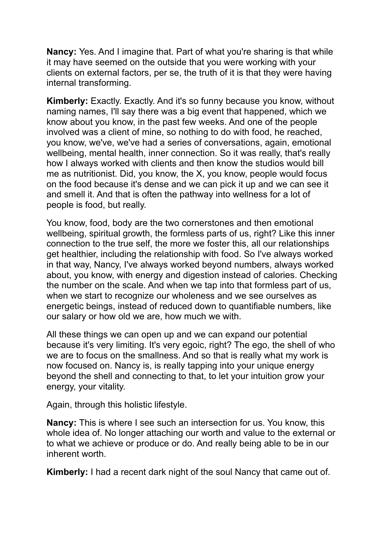**Nancy:** Yes. And I imagine that. Part of what you're sharing is that while it may have seemed on the outside that you were working with your clients on external factors, per se, the truth of it is that they were having internal transforming.

**Kimberly:** Exactly. Exactly. And it's so funny because you know, without naming names, I'll say there was a big event that happened, which we know about you know, in the past few weeks. And one of the people involved was a client of mine, so nothing to do with food, he reached, you know, we've, we've had a series of conversations, again, emotional wellbeing, mental health, inner connection. So it was really, that's really how I always worked with clients and then know the studios would bill me as nutritionist. Did, you know, the X, you know, people would focus on the food because it's dense and we can pick it up and we can see it and smell it. And that is often the pathway into wellness for a lot of people is food, but really.

You know, food, body are the two cornerstones and then emotional wellbeing, spiritual growth, the formless parts of us, right? Like this inner connection to the true self, the more we foster this, all our relationships get healthier, including the relationship with food. So I've always worked in that way, Nancy, I've always worked beyond numbers, always worked about, you know, with energy and digestion instead of calories. Checking the number on the scale. And when we tap into that formless part of us, when we start to recognize our wholeness and we see ourselves as energetic beings, instead of reduced down to quantifiable numbers, like our salary or how old we are, how much we with.

All these things we can open up and we can expand our potential because it's very limiting. It's very egoic, right? The ego, the shell of who we are to focus on the smallness. And so that is really what my work is now focused on. Nancy is, is really tapping into your unique energy beyond the shell and connecting to that, to let your intuition grow your energy, your vitality.

Again, through this holistic lifestyle.

**Nancy:** This is where I see such an intersection for us. You know, this whole idea of. No longer attaching our worth and value to the external or to what we achieve or produce or do. And really being able to be in our inherent worth.

**Kimberly:** I had a recent dark night of the soul Nancy that came out of.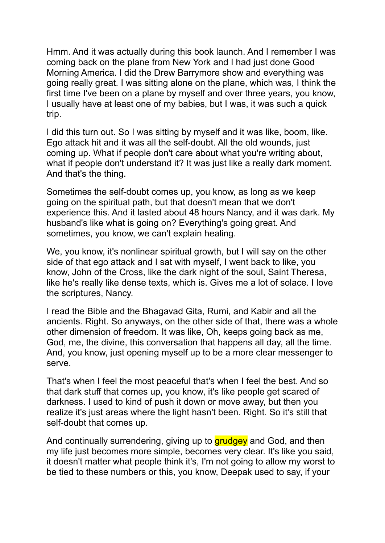Hmm. And it was actually during this book launch. And I remember I was coming back on the plane from New York and I had just done Good Morning America. I did the Drew Barrymore show and everything was going really great. I was sitting alone on the plane, which was, I think the first time I've been on a plane by myself and over three years, you know, I usually have at least one of my babies, but I was, it was such a quick trip.

I did this turn out. So I was sitting by myself and it was like, boom, like. Ego attack hit and it was all the self-doubt. All the old wounds, just coming up. What if people don't care about what you're writing about, what if people don't understand it? It was just like a really dark moment. And that's the thing.

Sometimes the self-doubt comes up, you know, as long as we keep going on the spiritual path, but that doesn't mean that we don't experience this. And it lasted about 48 hours Nancy, and it was dark. My husband's like what is going on? Everything's going great. And sometimes, you know, we can't explain healing.

We, you know, it's nonlinear spiritual growth, but I will say on the other side of that ego attack and I sat with myself, I went back to like, you know, John of the Cross, like the dark night of the soul, Saint Theresa, like he's really like dense texts, which is. Gives me a lot of solace. I love the scriptures, Nancy.

I read the Bible and the Bhagavad Gita, Rumi, and Kabir and all the ancients. Right. So anyways, on the other side of that, there was a whole other dimension of freedom. It was like, Oh, keeps going back as me, God, me, the divine, this conversation that happens all day, all the time. And, you know, just opening myself up to be a more clear messenger to serve.

That's when I feel the most peaceful that's when I feel the best. And so that dark stuff that comes up, you know, it's like people get scared of darkness. I used to kind of push it down or move away, but then you realize it's just areas where the light hasn't been. Right. So it's still that self-doubt that comes up.

And continually surrendering, giving up to **grudgey** and God, and then my life just becomes more simple, becomes very clear. It's like you said, it doesn't matter what people think it's, I'm not going to allow my worst to be tied to these numbers or this, you know, Deepak used to say, if your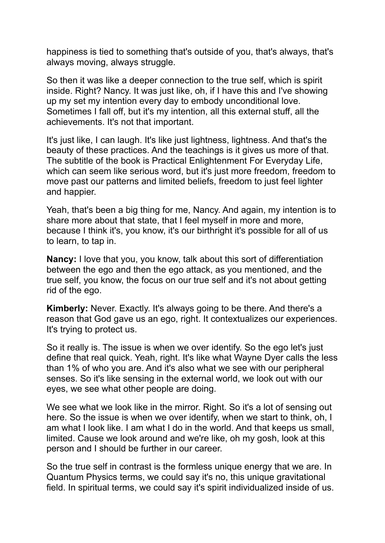happiness is tied to something that's outside of you, that's always, that's always moving, always struggle.

So then it was like a deeper connection to the true self, which is spirit inside. Right? Nancy. It was just like, oh, if I have this and I've showing up my set my intention every day to embody unconditional love. Sometimes I fall off, but it's my intention, all this external stuff, all the achievements. It's not that important.

It's just like, I can laugh. It's like just lightness, lightness. And that's the beauty of these practices. And the teachings is it gives us more of that. The subtitle of the book is Practical Enlightenment For Everyday Life, which can seem like serious word, but it's just more freedom, freedom to move past our patterns and limited beliefs, freedom to just feel lighter and happier.

Yeah, that's been a big thing for me, Nancy. And again, my intention is to share more about that state, that I feel myself in more and more, because I think it's, you know, it's our birthright it's possible for all of us to learn, to tap in.

**Nancy:** I love that you, you know, talk about this sort of differentiation between the ego and then the ego attack, as you mentioned, and the true self, you know, the focus on our true self and it's not about getting rid of the ego.

**Kimberly:** Never. Exactly. It's always going to be there. And there's a reason that God gave us an ego, right. It contextualizes our experiences. It's trying to protect us.

So it really is. The issue is when we over identify. So the ego let's just define that real quick. Yeah, right. It's like what Wayne Dyer calls the less than 1% of who you are. And it's also what we see with our peripheral senses. So it's like sensing in the external world, we look out with our eyes, we see what other people are doing.

We see what we look like in the mirror. Right. So it's a lot of sensing out here. So the issue is when we over identify, when we start to think, oh, I am what I look like. I am what I do in the world. And that keeps us small, limited. Cause we look around and we're like, oh my gosh, look at this person and I should be further in our career.

So the true self in contrast is the formless unique energy that we are. In Quantum Physics terms, we could say it's no, this unique gravitational field. In spiritual terms, we could say it's spirit individualized inside of us.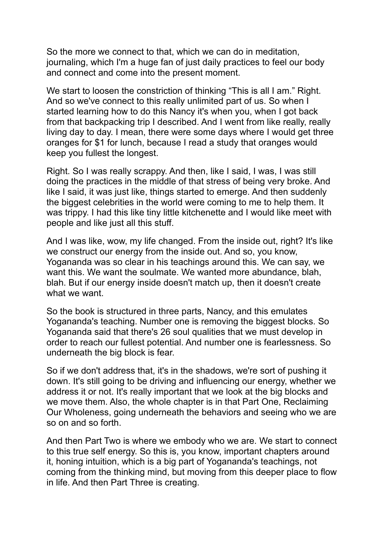So the more we connect to that, which we can do in meditation, journaling, which I'm a huge fan of just daily practices to feel our body and connect and come into the present moment.

We start to loosen the constriction of thinking "This is all I am." Right. And so we've connect to this really unlimited part of us. So when I started learning how to do this Nancy it's when you, when I got back from that backpacking trip I described. And I went from like really, really living day to day. I mean, there were some days where I would get three oranges for \$1 for lunch, because I read a study that oranges would keep you fullest the longest.

Right. So I was really scrappy. And then, like I said, I was, I was still doing the practices in the middle of that stress of being very broke. And like I said, it was just like, things started to emerge. And then suddenly the biggest celebrities in the world were coming to me to help them. It was trippy. I had this like tiny little kitchenette and I would like meet with people and like just all this stuff.

And I was like, wow, my life changed. From the inside out, right? It's like we construct our energy from the inside out. And so, you know, Yogananda was so clear in his teachings around this. We can say, we want this. We want the soulmate. We wanted more abundance, blah, blah. But if our energy inside doesn't match up, then it doesn't create what we want.

So the book is structured in three parts, Nancy, and this emulates Yogananda's teaching. Number one is removing the biggest blocks. So Yogananda said that there's 26 soul qualities that we must develop in order to reach our fullest potential. And number one is fearlessness. So underneath the big block is fear.

So if we don't address that, it's in the shadows, we're sort of pushing it down. It's still going to be driving and influencing our energy, whether we address it or not. It's really important that we look at the big blocks and we move them. Also, the whole chapter is in that Part One, Reclaiming Our Wholeness, going underneath the behaviors and seeing who we are so on and so forth.

And then Part Two is where we embody who we are. We start to connect to this true self energy. So this is, you know, important chapters around it, honing intuition, which is a big part of Yogananda's teachings, not coming from the thinking mind, but moving from this deeper place to flow in life. And then Part Three is creating.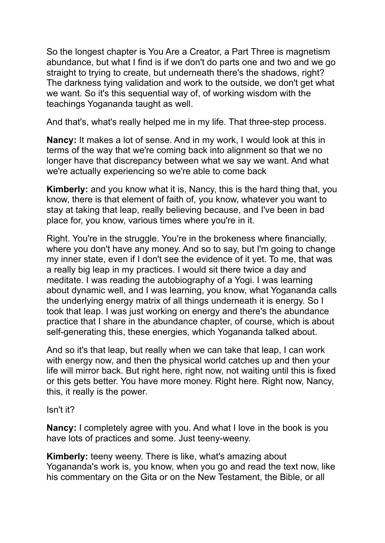So the longest chapter is You Are a Creator, a Part Three is magnetism abundance, but what I find is if we don't do parts one and two and we go straight to trying to create, but underneath there's the shadows, right? The darkness tying validation and work to the outside, we don't get what we want. So it's this sequential way of, of working wisdom with the teachings Yogananda taught as well.

And that's, what's really helped me in my life. That three-step process.

**Nancy:** It makes a lot of sense. And in my work, I would look at this in terms of the way that we're coming back into alignment so that we no longer have that discrepancy between what we say we want. And what we're actually experiencing so we're able to come back

**Kimberly:** and you know what it is, Nancy, this is the hard thing that, you know, there is that element of faith of, you know, whatever you want to stay at taking that leap, really believing because, and I've been in bad place for, you know, various times where you're in it.

Right. You're in the struggle. You're in the brokeness where financially, where you don't have any money. And so to say, but I'm going to change my inner state, even if I don't see the evidence of it yet. To me, that was a really big leap in my practices. I would sit there twice a day and meditate. I was reading the autobiography of a Yogi. I was learning about dynamic well, and I was learning, you know, what Yogananda calls the underlying energy matrix of all things underneath it is energy. So I took that leap. I was just working on energy and there's the abundance practice that I share in the abundance chapter, of course, which is about self-generating this, these energies, which Yogananda talked about.

And so it's that leap, but really when we can take that leap, I can work with energy now, and then the physical world catches up and then your life will mirror back. But right here, right now, not waiting until this is fixed or this gets better. You have more money. Right here. Right now, Nancy, this, it really is the power.

Isn't it?

**Nancy:** I completely agree with you. And what I love in the book is you have lots of practices and some. Just teeny-weeny.

**Kimberly:** teeny weeny. There is like, what's amazing about Yogananda's work is, you know, when you go and read the text now, like his commentary on the Gita or on the New Testament, the Bible, or all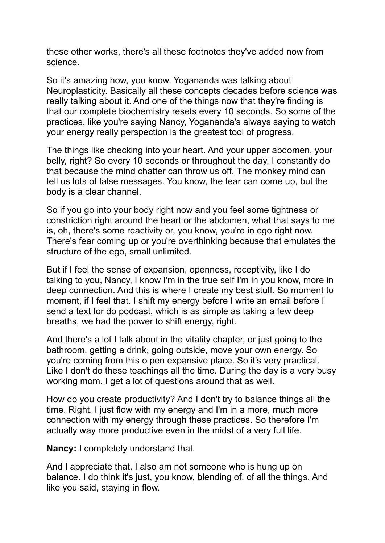these other works, there's all these footnotes they've added now from science.

So it's amazing how, you know, Yogananda was talking about Neuroplasticity. Basically all these concepts decades before science was really talking about it. And one of the things now that they're finding is that our complete biochemistry resets every 10 seconds. So some of the practices, like you're saying Nancy, Yogananda's always saying to watch your energy really perspection is the greatest tool of progress.

The things like checking into your heart. And your upper abdomen, your belly, right? So every 10 seconds or throughout the day, I constantly do that because the mind chatter can throw us off. The monkey mind can tell us lots of false messages. You know, the fear can come up, but the body is a clear channel.

So if you go into your body right now and you feel some tightness or constriction right around the heart or the abdomen, what that says to me is, oh, there's some reactivity or, you know, you're in ego right now. There's fear coming up or you're overthinking because that emulates the structure of the ego, small unlimited.

But if I feel the sense of expansion, openness, receptivity, like I do talking to you, Nancy, I know I'm in the true self I'm in you know, more in deep connection. And this is where I create my best stuff. So moment to moment, if I feel that. I shift my energy before I write an email before I send a text for do podcast, which is as simple as taking a few deep breaths, we had the power to shift energy, right.

And there's a lot I talk about in the vitality chapter, or just going to the bathroom, getting a drink, going outside, move your own energy. So you're coming from this o pen expansive place. So it's very practical. Like I don't do these teachings all the time. During the day is a very busy working mom. I get a lot of questions around that as well.

How do you create productivity? And I don't try to balance things all the time. Right. I just flow with my energy and I'm in a more, much more connection with my energy through these practices. So therefore I'm actually way more productive even in the midst of a very full life.

**Nancy:** I completely understand that.

And I appreciate that. I also am not someone who is hung up on balance. I do think it's just, you know, blending of, of all the things. And like you said, staying in flow.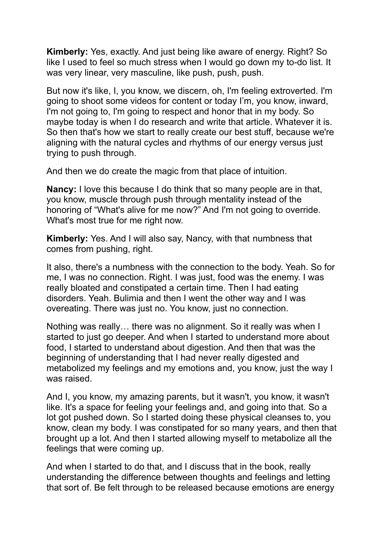**Kimberly:** Yes, exactly. And just being like aware of energy. Right? So like I used to feel so much stress when I would go down my to-do list. It was very linear, very masculine, like push, push, push.

But now it's like, I, you know, we discern, oh, I'm feeling extroverted. I'm going to shoot some videos for content or today I'm, you know, inward, I'm not going to, I'm going to respect and honor that in my body. So maybe today is when I do research and write that article. Whatever it is. So then that's how we start to really create our best stuff, because we're aligning with the natural cycles and rhythms of our energy versus just trying to push through.

And then we do create the magic from that place of intuition.

**Nancy:** I love this because I do think that so many people are in that, you know, muscle through push through mentality instead of the honoring of "What's alive for me now?" And I'm not going to override. What's most true for me right now.

**Kimberly:** Yes. And I will also say, Nancy, with that numbness that comes from pushing, right.

It also, there's a numbness with the connection to the body. Yeah. So for me, I was no connection. Right. I was just, food was the enemy. I was really bloated and constipated a certain time. Then I had eating disorders. Yeah. Bulimia and then I went the other way and I was overeating. There was just no. You know, just no connection.

Nothing was really… there was no alignment. So it really was when I started to just go deeper. And when I started to understand more about food, I started to understand about digestion. And then that was the beginning of understanding that I had never really digested and metabolized my feelings and my emotions and, you know, just the way I was raised.

And I, you know, my amazing parents, but it wasn't, you know, it wasn't like. It's a space for feeling your feelings and, and going into that. So a lot got pushed down. So I started doing these physical cleanses to, you know, clean my body. I was constipated for so many years, and then that brought up a lot. And then I started allowing myself to metabolize all the feelings that were coming up.

And when I started to do that, and I discuss that in the book, really understanding the difference between thoughts and feelings and letting that sort of. Be felt through to be released because emotions are energy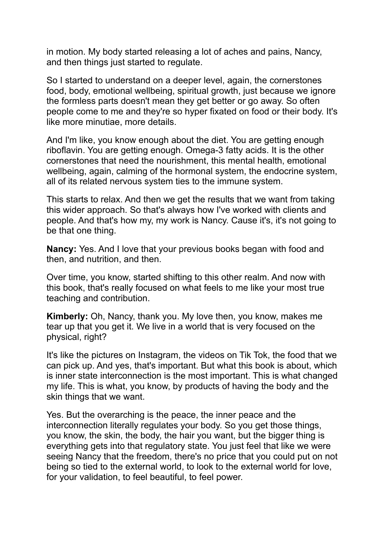in motion. My body started releasing a lot of aches and pains, Nancy, and then things just started to regulate.

So I started to understand on a deeper level, again, the cornerstones food, body, emotional wellbeing, spiritual growth, just because we ignore the formless parts doesn't mean they get better or go away. So often people come to me and they're so hyper fixated on food or their body. It's like more minutiae, more details.

And I'm like, you know enough about the diet. You are getting enough riboflavin. You are getting enough. Omega-3 fatty acids. It is the other cornerstones that need the nourishment, this mental health, emotional wellbeing, again, calming of the hormonal system, the endocrine system, all of its related nervous system ties to the immune system.

This starts to relax. And then we get the results that we want from taking this wider approach. So that's always how I've worked with clients and people. And that's how my, my work is Nancy. Cause it's, it's not going to be that one thing.

**Nancy:** Yes. And I love that your previous books began with food and then, and nutrition, and then.

Over time, you know, started shifting to this other realm. And now with this book, that's really focused on what feels to me like your most true teaching and contribution.

**Kimberly:** Oh, Nancy, thank you. My love then, you know, makes me tear up that you get it. We live in a world that is very focused on the physical, right?

It's like the pictures on Instagram, the videos on Tik Tok, the food that we can pick up. And yes, that's important. But what this book is about, which is inner state interconnection is the most important. This is what changed my life. This is what, you know, by products of having the body and the skin things that we want.

Yes. But the overarching is the peace, the inner peace and the interconnection literally regulates your body. So you get those things, you know, the skin, the body, the hair you want, but the bigger thing is everything gets into that regulatory state. You just feel that like we were seeing Nancy that the freedom, there's no price that you could put on not being so tied to the external world, to look to the external world for love, for your validation, to feel beautiful, to feel power.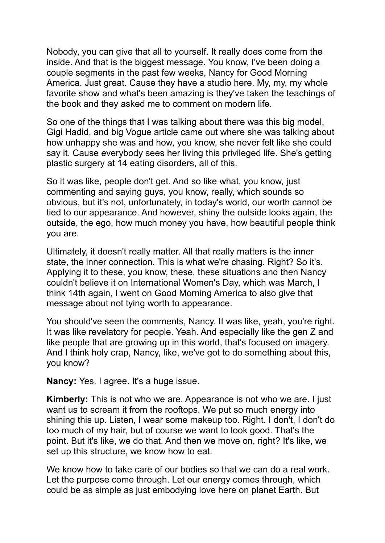Nobody, you can give that all to yourself. It really does come from the inside. And that is the biggest message. You know, I've been doing a couple segments in the past few weeks, Nancy for Good Morning America. Just great. Cause they have a studio here. My, my, my whole favorite show and what's been amazing is they've taken the teachings of the book and they asked me to comment on modern life.

So one of the things that I was talking about there was this big model, Gigi Hadid, and big Vogue article came out where she was talking about how unhappy she was and how, you know, she never felt like she could say it. Cause everybody sees her living this privileged life. She's getting plastic surgery at 14 eating disorders, all of this.

So it was like, people don't get. And so like what, you know, just commenting and saying guys, you know, really, which sounds so obvious, but it's not, unfortunately, in today's world, our worth cannot be tied to our appearance. And however, shiny the outside looks again, the outside, the ego, how much money you have, how beautiful people think you are.

Ultimately, it doesn't really matter. All that really matters is the inner state, the inner connection. This is what we're chasing. Right? So it's. Applying it to these, you know, these, these situations and then Nancy couldn't believe it on International Women's Day, which was March, I think 14th again, I went on Good Morning America to also give that message about not tying worth to appearance.

You should've seen the comments, Nancy. It was like, yeah, you're right. It was like revelatory for people. Yeah. And especially like the gen Z and like people that are growing up in this world, that's focused on imagery. And I think holy crap, Nancy, like, we've got to do something about this, you know?

**Nancy:** Yes. I agree. It's a huge issue.

**Kimberly:** This is not who we are. Appearance is not who we are. I just want us to scream it from the rooftops. We put so much energy into shining this up. Listen, I wear some makeup too. Right. I don't, I don't do too much of my hair, but of course we want to look good. That's the point. But it's like, we do that. And then we move on, right? It's like, we set up this structure, we know how to eat.

We know how to take care of our bodies so that we can do a real work. Let the purpose come through. Let our energy comes through, which could be as simple as just embodying love here on planet Earth. But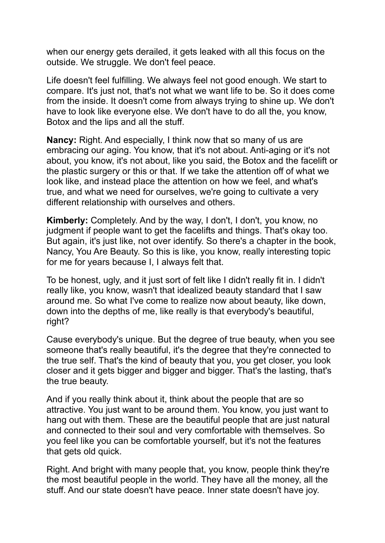when our energy gets derailed, it gets leaked with all this focus on the outside. We struggle. We don't feel peace.

Life doesn't feel fulfilling. We always feel not good enough. We start to compare. It's just not, that's not what we want life to be. So it does come from the inside. It doesn't come from always trying to shine up. We don't have to look like everyone else. We don't have to do all the, you know, Botox and the lips and all the stuff.

**Nancy:** Right. And especially, I think now that so many of us are embracing our aging. You know, that it's not about. Anti-aging or it's not about, you know, it's not about, like you said, the Botox and the facelift or the plastic surgery or this or that. If we take the attention off of what we look like, and instead place the attention on how we feel, and what's true, and what we need for ourselves, we're going to cultivate a very different relationship with ourselves and others.

**Kimberly:** Completely. And by the way, I don't, I don't, you know, no judgment if people want to get the facelifts and things. That's okay too. But again, it's just like, not over identify. So there's a chapter in the book, Nancy, You Are Beauty. So this is like, you know, really interesting topic for me for years because I, I always felt that.

To be honest, ugly, and it just sort of felt like I didn't really fit in. I didn't really like, you know, wasn't that idealized beauty standard that I saw around me. So what I've come to realize now about beauty, like down, down into the depths of me, like really is that everybody's beautiful, right?

Cause everybody's unique. But the degree of true beauty, when you see someone that's really beautiful, it's the degree that they're connected to the true self. That's the kind of beauty that you, you get closer, you look closer and it gets bigger and bigger and bigger. That's the lasting, that's the true beauty.

And if you really think about it, think about the people that are so attractive. You just want to be around them. You know, you just want to hang out with them. These are the beautiful people that are just natural and connected to their soul and very comfortable with themselves. So you feel like you can be comfortable yourself, but it's not the features that gets old quick.

Right. And bright with many people that, you know, people think they're the most beautiful people in the world. They have all the money, all the stuff. And our state doesn't have peace. Inner state doesn't have joy.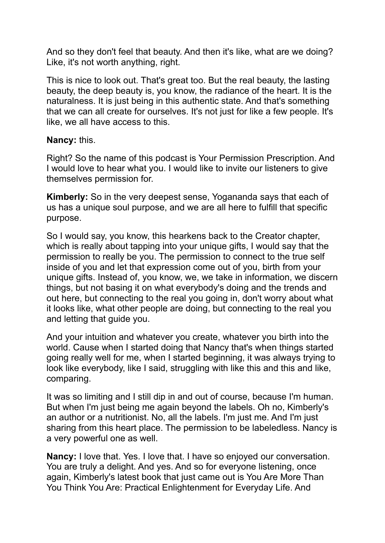And so they don't feel that beauty. And then it's like, what are we doing? Like, it's not worth anything, right.

This is nice to look out. That's great too. But the real beauty, the lasting beauty, the deep beauty is, you know, the radiance of the heart. It is the naturalness. It is just being in this authentic state. And that's something that we can all create for ourselves. It's not just for like a few people. It's like, we all have access to this.

## **Nancy:** this.

Right? So the name of this podcast is Your Permission Prescription. And I would love to hear what you. I would like to invite our listeners to give themselves permission for.

**Kimberly:** So in the very deepest sense, Yogananda says that each of us has a unique soul purpose, and we are all here to fulfill that specific purpose.

So I would say, you know, this hearkens back to the Creator chapter, which is really about tapping into your unique gifts, I would say that the permission to really be you. The permission to connect to the true self inside of you and let that expression come out of you, birth from your unique gifts. Instead of, you know, we, we take in information, we discern things, but not basing it on what everybody's doing and the trends and out here, but connecting to the real you going in, don't worry about what it looks like, what other people are doing, but connecting to the real you and letting that guide you.

And your intuition and whatever you create, whatever you birth into the world. Cause when I started doing that Nancy that's when things started going really well for me, when I started beginning, it was always trying to look like everybody, like I said, struggling with like this and this and like, comparing.

It was so limiting and I still dip in and out of course, because I'm human. But when I'm just being me again beyond the labels. Oh no, Kimberly's an author or a nutritionist. No, all the labels. I'm just me. And I'm just sharing from this heart place. The permission to be labeledless. Nancy is a very powerful one as well.

**Nancy:** I love that. Yes. I love that. I have so enjoyed our conversation. You are truly a delight. And yes. And so for everyone listening, once again, Kimberly's latest book that just came out is You Are More Than You Think You Are: Practical Enlightenment for Everyday Life. And